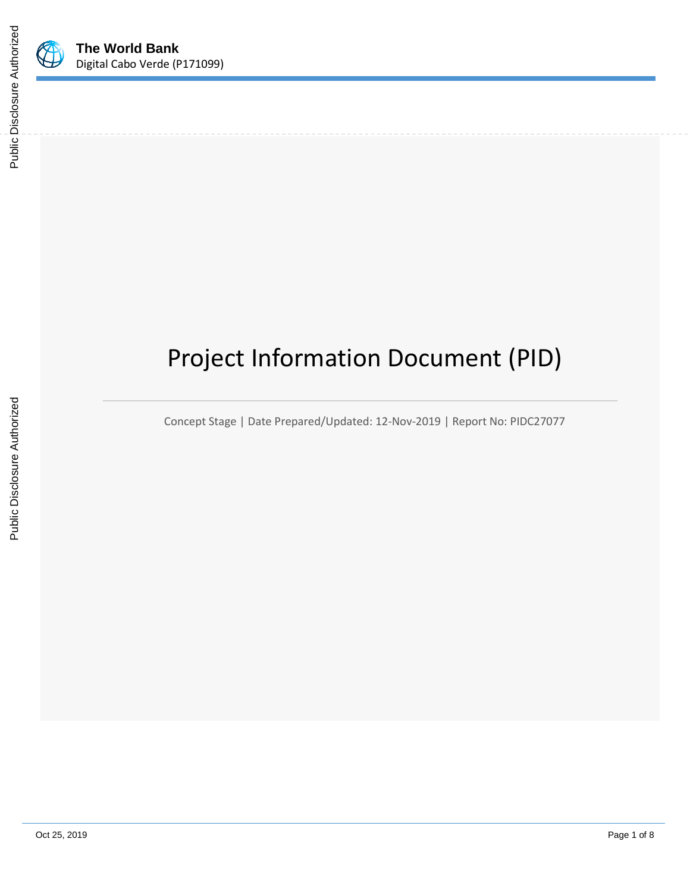

# Project Information Document (PID)

Concept Stage | Date Prepared/Updated: 12-Nov-2019 | Report No: PIDC27077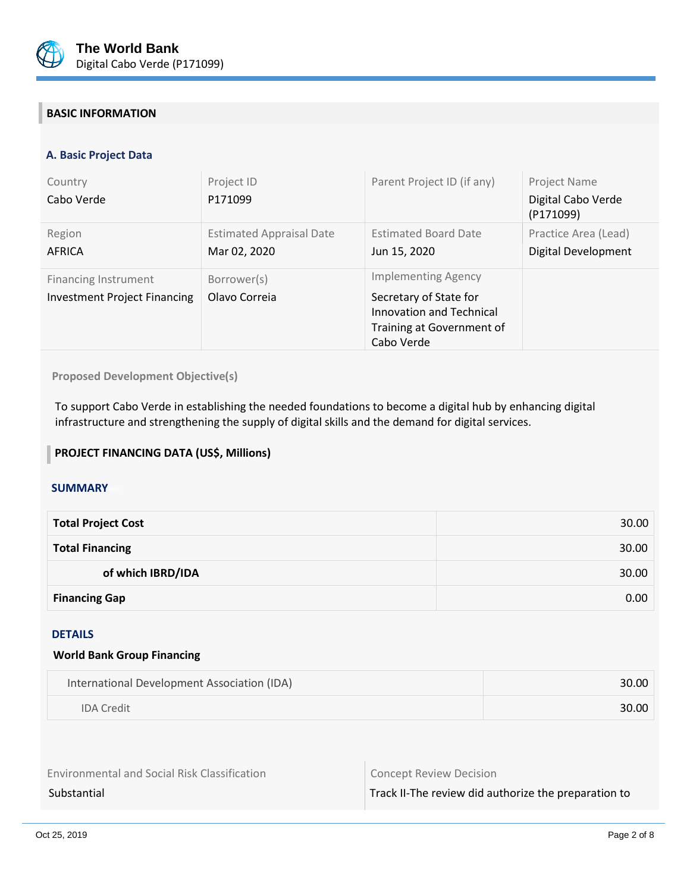

# **BASIC INFORMATION**

### **A. Basic Project Data**

| Country<br>Cabo Verde                                              | Project ID<br>P171099                           | Parent Project ID (if any)                                                                                                  | Project Name<br>Digital Cabo Verde<br>(P171099) |
|--------------------------------------------------------------------|-------------------------------------------------|-----------------------------------------------------------------------------------------------------------------------------|-------------------------------------------------|
| Region<br>AFRICA                                                   | <b>Estimated Appraisal Date</b><br>Mar 02, 2020 | <b>Estimated Board Date</b><br>Jun 15, 2020                                                                                 | Practice Area (Lead)<br>Digital Development     |
| <b>Financing Instrument</b><br><b>Investment Project Financing</b> | Borrower(s)<br>Olavo Correia                    | <b>Implementing Agency</b><br>Secretary of State for<br>Innovation and Technical<br>Training at Government of<br>Cabo Verde |                                                 |

**Proposed Development Objective(s)** 

To support Cabo Verde in establishing the needed foundations to become a digital hub by enhancing digital infrastructure and strengthening the supply of digital skills and the demand for digital services.

### **PROJECT FINANCING DATA (US\$, Millions)**

#### **SUMMARY**

| <b>Total Project Cost</b> | 30.00 |
|---------------------------|-------|
| <b>Total Financing</b>    | 30.00 |
| of which IBRD/IDA         | 30.00 |
| <b>Financing Gap</b>      | 0.00  |

# DETAILS

#### **World Bank Group Financing**

| International Development Association (IDA) | 30.00 |
|---------------------------------------------|-------|
| <b>IDA Credit</b>                           | 30.00 |

| <b>Environmental and Social Risk Classification</b> |  |
|-----------------------------------------------------|--|
|-----------------------------------------------------|--|

Concept Review Decision

Substantial Substantial Track II-The review did authorize the preparation to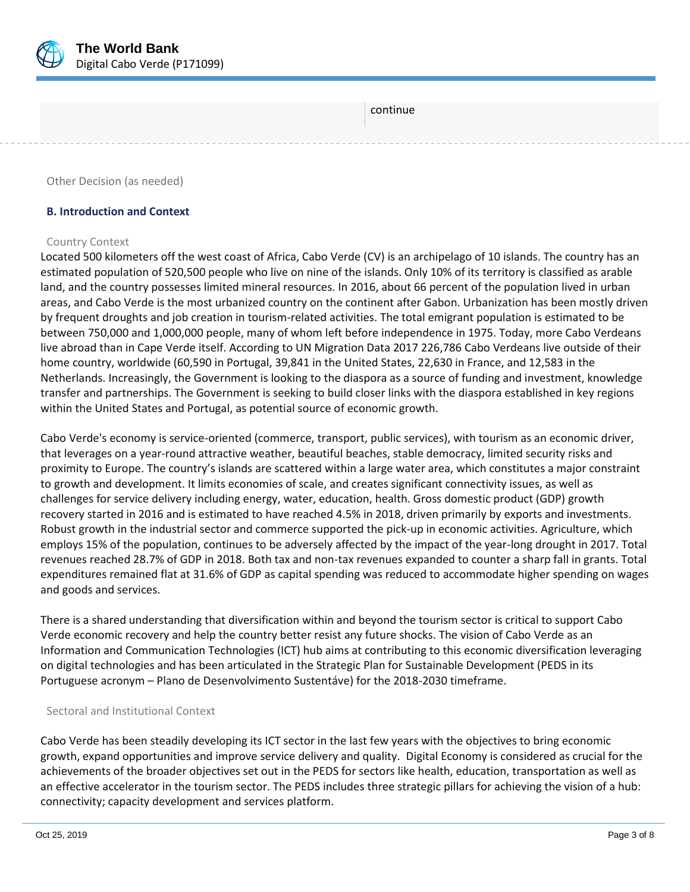

continue

Other Decision (as needed)

#### **B. Introduction and Context**

#### Country Context

Located 500 kilometers off the west coast of Africa, Cabo Verde (CV) is an archipelago of 10 islands. The country has an estimated population of 520,500 people who live on nine of the islands. Only 10% of its territory is classified as arable land, and the country possesses limited mineral resources. In 2016, about 66 percent of the population lived in urban areas, and Cabo Verde is the most urbanized country on the continent after Gabon. Urbanization has been mostly driven by frequent droughts and job creation in tourism-related activities. The total emigrant population is estimated to be between 750,000 and 1,000,000 people, many of whom left before independence in 1975. Today, more Cabo Verdeans live abroad than in Cape Verde itself. According to UN Migration Data 2017 226,786 Cabo Verdeans live outside of their home country, worldwide (60,590 in Portugal, 39,841 in the United States, 22,630 in France, and 12,583 in the Netherlands. Increasingly, the Government is looking to the diaspora as a source of funding and investment, knowledge transfer and partnerships. The Government is seeking to build closer links with the diaspora established in key regions within the United States and Portugal, as potential source of economic growth.

Cabo Verde's economy is service-oriented (commerce, transport, public services), with tourism as an economic driver, that leverages on a year-round attractive weather, beautiful beaches, stable democracy, limited security risks and proximity to Europe. The country's islands are scattered within a large water area, which constitutes a major constraint to growth and development. It limits economies of scale, and creates significant connectivity issues, as well as challenges for service delivery including energy, water, education, health. Gross domestic product (GDP) growth recovery started in 2016 and is estimated to have reached 4.5% in 2018, driven primarily by exports and investments. Robust growth in the industrial sector and commerce supported the pick-up in economic activities. Agriculture, which employs 15% of the population, continues to be adversely affected by the impact of the year-long drought in 2017. Total revenues reached 28.7% of GDP in 2018. Both tax and non-tax revenues expanded to counter a sharp fall in grants. Total expenditures remained flat at 31.6% of GDP as capital spending was reduced to accommodate higher spending on wages and goods and services.

There is a shared understanding that diversification within and beyond the tourism sector is critical to support Cabo Verde economic recovery and help the country better resist any future shocks. The vision of Cabo Verde as an Information and Communication Technologies (ICT) hub aims at contributing to this economic diversification leveraging on digital technologies and has been articulated in the Strategic Plan for Sustainable Development (PEDS in its Portuguese acronym – Plano de Desenvolvimento Sustentáve) for the 2018-2030 timeframe.

#### Sectoral and Institutional Context

Cabo Verde has been steadily developing its ICT sector in the last few years with the objectives to bring economic growth, expand opportunities and improve service delivery and quality. Digital Economy is considered as crucial for the achievements of the broader objectives set out in the PEDS for sectors like health, education, transportation as well as an effective accelerator in the tourism sector. The PEDS includes three strategic pillars for achieving the vision of a hub: connectivity; capacity development and services platform.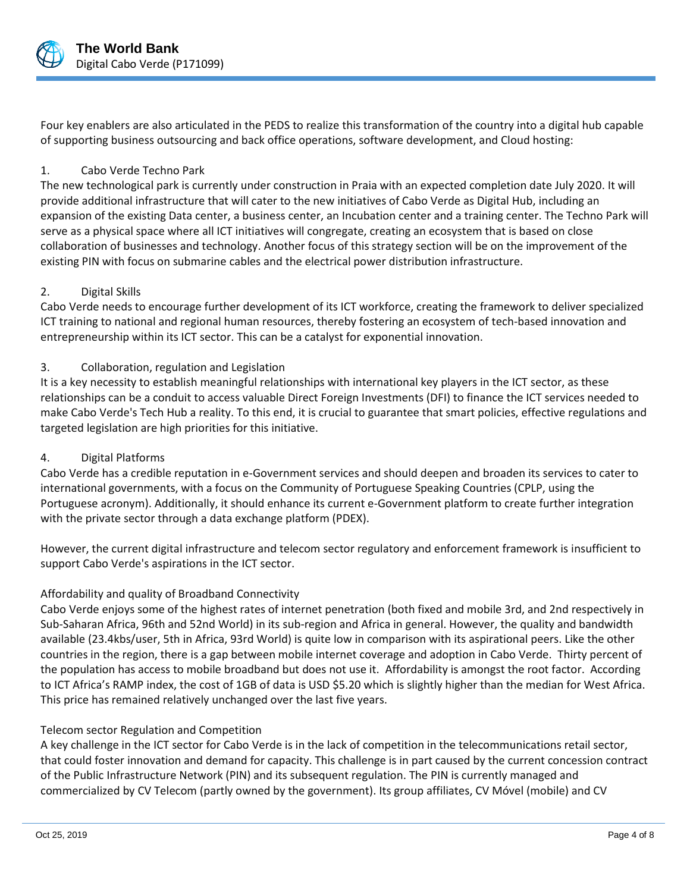

Four key enablers are also articulated in the PEDS to realize this transformation of the country into a digital hub capable of supporting business outsourcing and back office operations, software development, and Cloud hosting:

# 1. Cabo Verde Techno Park

The new technological park is currently under construction in Praia with an expected completion date July 2020. It will provide additional infrastructure that will cater to the new initiatives of Cabo Verde as Digital Hub, including an expansion of the existing Data center, a business center, an Incubation center and a training center. The Techno Park will serve as a physical space where all ICT initiatives will congregate, creating an ecosystem that is based on close collaboration of businesses and technology. Another focus of this strategy section will be on the improvement of the existing PIN with focus on submarine cables and the electrical power distribution infrastructure.

# 2. Digital Skills

Cabo Verde needs to encourage further development of its ICT workforce, creating the framework to deliver specialized ICT training to national and regional human resources, thereby fostering an ecosystem of tech-based innovation and entrepreneurship within its ICT sector. This can be a catalyst for exponential innovation.

# 3. Collaboration, regulation and Legislation

It is a key necessity to establish meaningful relationships with international key players in the ICT sector, as these relationships can be a conduit to access valuable Direct Foreign Investments (DFI) to finance the ICT services needed to make Cabo Verde's Tech Hub a reality. To this end, it is crucial to guarantee that smart policies, effective regulations and targeted legislation are high priorities for this initiative.

#### 4. Digital Platforms

Cabo Verde has a credible reputation in e-Government services and should deepen and broaden its services to cater to international governments, with a focus on the Community of Portuguese Speaking Countries (CPLP, using the Portuguese acronym). Additionally, it should enhance its current e-Government platform to create further integration with the private sector through a data exchange platform (PDEX).

However, the current digital infrastructure and telecom sector regulatory and enforcement framework is insufficient to support Cabo Verde's aspirations in the ICT sector.

# Affordability and quality of Broadband Connectivity

Cabo Verde enjoys some of the highest rates of internet penetration (both fixed and mobile 3rd, and 2nd respectively in Sub-Saharan Africa, 96th and 52nd World) in its sub-region and Africa in general. However, the quality and bandwidth available (23.4kbs/user, 5th in Africa, 93rd World) is quite low in comparison with its aspirational peers. Like the other countries in the region, there is a gap between mobile internet coverage and adoption in Cabo Verde. Thirty percent of the population has access to mobile broadband but does not use it. Affordability is amongst the root factor. According to ICT Africa's RAMP index, the cost of 1GB of data is USD \$5.20 which is slightly higher than the median for West Africa. This price has remained relatively unchanged over the last five years.

#### Telecom sector Regulation and Competition

A key challenge in the ICT sector for Cabo Verde is in the lack of competition in the telecommunications retail sector, that could foster innovation and demand for capacity. This challenge is in part caused by the current concession contract of the Public Infrastructure Network (PIN) and its subsequent regulation. The PIN is currently managed and commercialized by CV Telecom (partly owned by the government). Its group affiliates, CV Móvel (mobile) and CV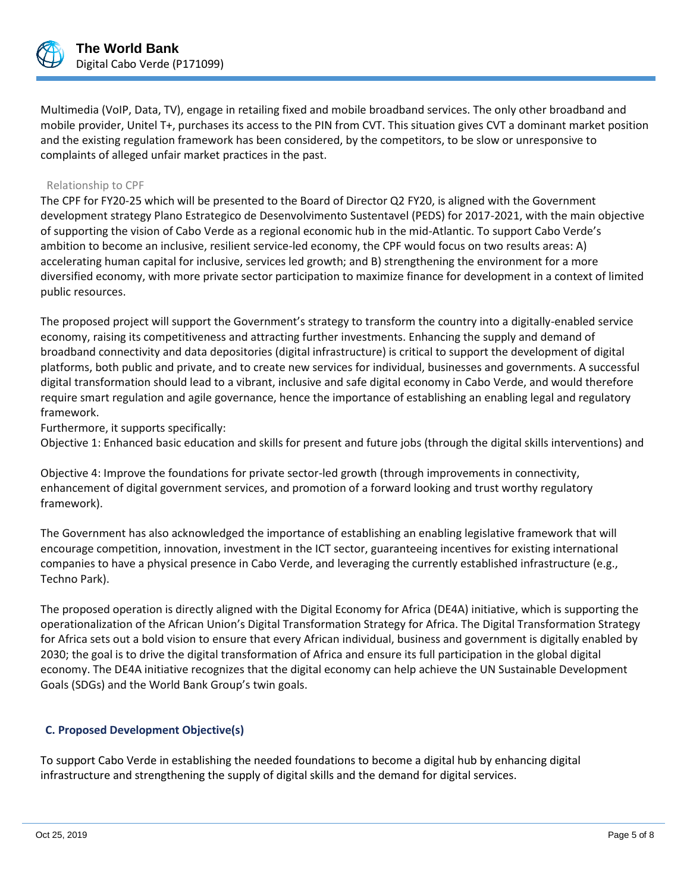

Multimedia (VoIP, Data, TV), engage in retailing fixed and mobile broadband services. The only other broadband and mobile provider, Unitel T+, purchases its access to the PIN from CVT. This situation gives CVT a dominant market position and the existing regulation framework has been considered, by the competitors, to be slow or unresponsive to complaints of alleged unfair market practices in the past.

### Relationship to CPF

The CPF for FY20-25 which will be presented to the Board of Director Q2 FY20, is aligned with the Government development strategy Plano Estrategico de Desenvolvimento Sustentavel (PEDS) for 2017-2021, with the main objective of supporting the vision of Cabo Verde as a regional economic hub in the mid-Atlantic. To support Cabo Verde's ambition to become an inclusive, resilient service-led economy, the CPF would focus on two results areas: A) accelerating human capital for inclusive, services led growth; and B) strengthening the environment for a more diversified economy, with more private sector participation to maximize finance for development in a context of limited public resources.

The proposed project will support the Government's strategy to transform the country into a digitally-enabled service economy, raising its competitiveness and attracting further investments. Enhancing the supply and demand of broadband connectivity and data depositories (digital infrastructure) is critical to support the development of digital platforms, both public and private, and to create new services for individual, businesses and governments. A successful digital transformation should lead to a vibrant, inclusive and safe digital economy in Cabo Verde, and would therefore require smart regulation and agile governance, hence the importance of establishing an enabling legal and regulatory framework.

Furthermore, it supports specifically:

Objective 1: Enhanced basic education and skills for present and future jobs (through the digital skills interventions) and

Objective 4: Improve the foundations for private sector-led growth (through improvements in connectivity, enhancement of digital government services, and promotion of a forward looking and trust worthy regulatory framework).

The Government has also acknowledged the importance of establishing an enabling legislative framework that will encourage competition, innovation, investment in the ICT sector, guaranteeing incentives for existing international companies to have a physical presence in Cabo Verde, and leveraging the currently established infrastructure (e.g., Techno Park).

The proposed operation is directly aligned with the Digital Economy for Africa (DE4A) initiative, which is supporting the operationalization of the African Union's Digital Transformation Strategy for Africa. The Digital Transformation Strategy for Africa sets out a bold vision to ensure that every African individual, business and government is digitally enabled by 2030; the goal is to drive the digital transformation of Africa and ensure its full participation in the global digital economy. The DE4A initiative recognizes that the digital economy can help achieve the UN Sustainable Development Goals (SDGs) and the World Bank Group's twin goals.

# **C. Proposed Development Objective(s)**

To support Cabo Verde in establishing the needed foundations to become a digital hub by enhancing digital infrastructure and strengthening the supply of digital skills and the demand for digital services.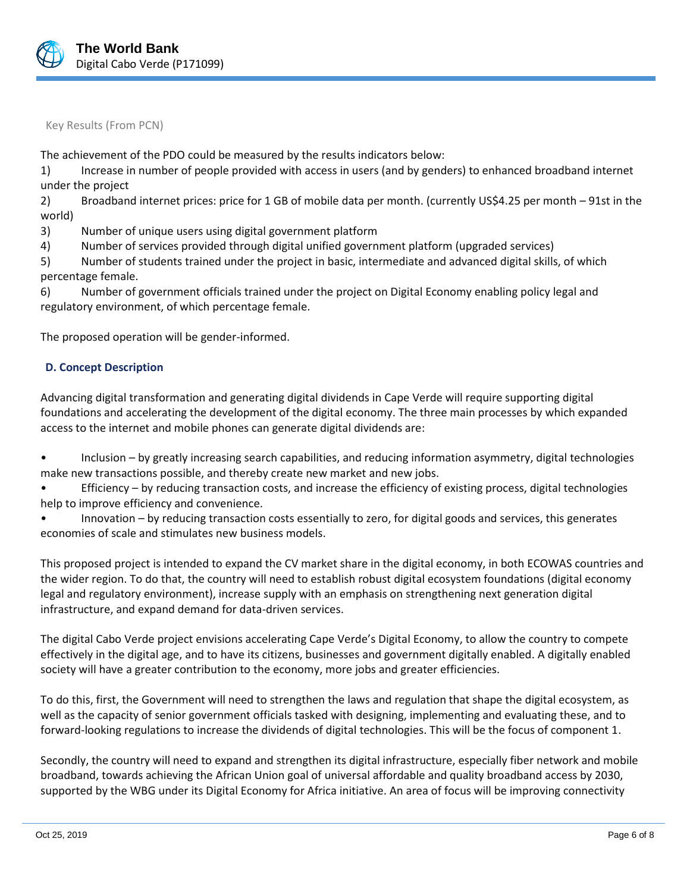

Key Results (From PCN)

The achievement of the PDO could be measured by the results indicators below:

1) Increase in number of people provided with access in users (and by genders) to enhanced broadband internet under the project

2) Broadband internet prices: price for 1 GB of mobile data per month. (currently US\$4.25 per month – 91st in the world)

3) Number of unique users using digital government platform

4) Number of services provided through digital unified government platform (upgraded services)

5) Number of students trained under the project in basic, intermediate and advanced digital skills, of which percentage female.

6) Number of government officials trained under the project on Digital Economy enabling policy legal and regulatory environment, of which percentage female.

The proposed operation will be gender-informed.

#### **D. Concept Description**

Advancing digital transformation and generating digital dividends in Cape Verde will require supporting digital foundations and accelerating the development of the digital economy. The three main processes by which expanded access to the internet and mobile phones can generate digital dividends are:

• Inclusion – by greatly increasing search capabilities, and reducing information asymmetry, digital technologies make new transactions possible, and thereby create new market and new jobs.

• Efficiency – by reducing transaction costs, and increase the efficiency of existing process, digital technologies help to improve efficiency and convenience.

• Innovation – by reducing transaction costs essentially to zero, for digital goods and services, this generates economies of scale and stimulates new business models.

This proposed project is intended to expand the CV market share in the digital economy, in both ECOWAS countries and the wider region. To do that, the country will need to establish robust digital ecosystem foundations (digital economy legal and regulatory environment), increase supply with an emphasis on strengthening next generation digital infrastructure, and expand demand for data-driven services.

The digital Cabo Verde project envisions accelerating Cape Verde's Digital Economy, to allow the country to compete effectively in the digital age, and to have its citizens, businesses and government digitally enabled. A digitally enabled society will have a greater contribution to the economy, more jobs and greater efficiencies.

To do this, first, the Government will need to strengthen the laws and regulation that shape the digital ecosystem, as well as the capacity of senior government officials tasked with designing, implementing and evaluating these, and to forward-looking regulations to increase the dividends of digital technologies. This will be the focus of component 1.

Secondly, the country will need to expand and strengthen its digital infrastructure, especially fiber network and mobile broadband, towards achieving the African Union goal of universal affordable and quality broadband access by 2030, supported by the WBG under its Digital Economy for Africa initiative. An area of focus will be improving connectivity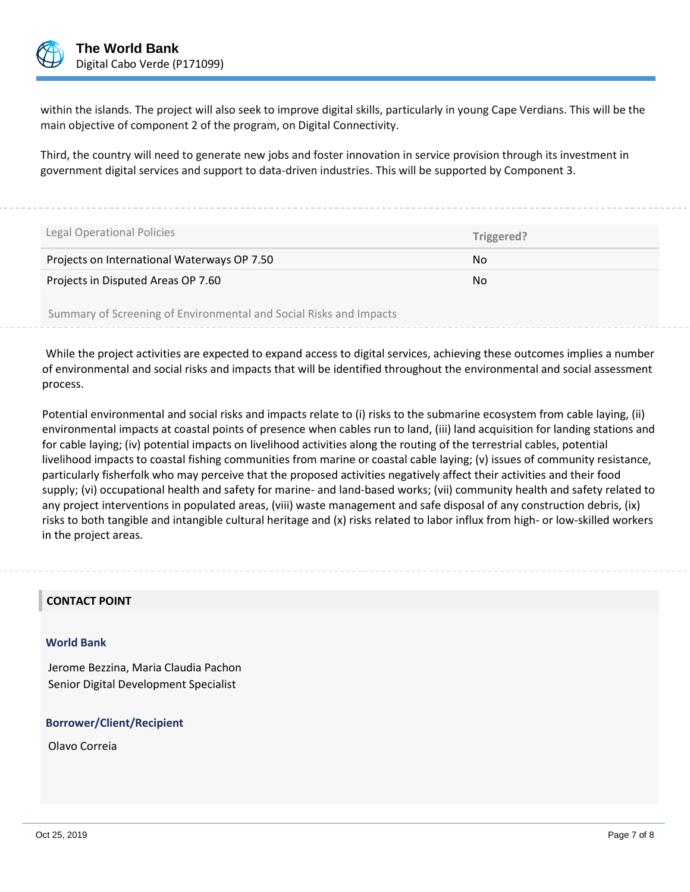

within the islands. The project will also seek to improve digital skills, particularly in young Cape Verdians. This will be the main objective of component 2 of the program, on Digital Connectivity.

Third, the country will need to generate new jobs and foster innovation in service provision through its investment in government digital services and support to data-driven industries. This will be supported by Component 3.

| Legal Operational Policies                                         | Triggered? |  |
|--------------------------------------------------------------------|------------|--|
| Projects on International Waterways OP 7.50                        | No.        |  |
| Projects in Disputed Areas OP 7.60                                 | No.        |  |
| Summary of Screening of Environmental and Social Risks and Impacts |            |  |

While the project activities are expected to expand access to digital services, achieving these outcomes implies a number of environmental and social risks and impacts that will be identified throughout the environmental and social assessment process.

Potential environmental and social risks and impacts relate to (i) risks to the submarine ecosystem from cable laying, (ii) environmental impacts at coastal points of presence when cables run to land, (iii) land acquisition for landing stations and for cable laying; (iv) potential impacts on livelihood activities along the routing of the terrestrial cables, potential livelihood impacts to coastal fishing communities from marine or coastal cable laying; (v) issues of community resistance, particularly fisherfolk who may perceive that the proposed activities negatively affect their activities and their food supply; (vi) occupational health and safety for marine- and land-based works; (vii) community health and safety related to any project interventions in populated areas, (viii) waste management and safe disposal of any construction debris, (ix) risks to both tangible and intangible cultural heritage and (x) risks related to labor influx from high- or low-skilled workers in the project areas.

# **CONTACT POINT**

#### **World Bank**

Jerome Bezzina, Maria Claudia Pachon Senior Digital Development Specialist

#### **Borrower/Client/Recipient**

Olavo Correia